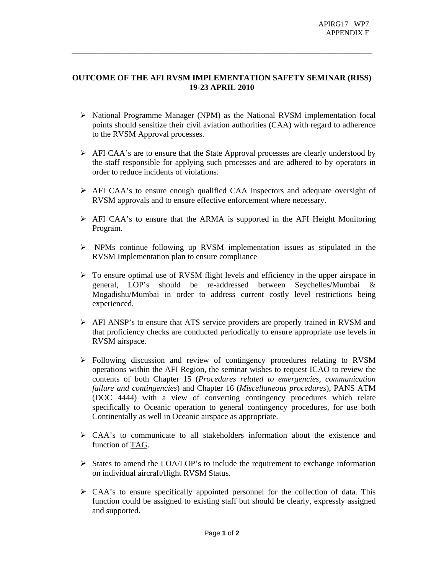## **OUTCOME OF THE AFI RVSM IMPLEMENTATION SAFETY SEMINAR (RISS) 19-23 APRIL 2010**

\_\_\_\_\_\_\_\_\_\_\_\_\_\_\_\_\_\_\_\_\_\_\_\_\_\_\_\_\_\_\_\_\_\_\_\_\_\_\_\_\_\_\_\_\_\_\_\_\_\_\_\_\_\_\_\_\_\_\_\_\_\_\_\_\_\_\_\_\_\_\_\_\_\_\_\_\_\_\_\_

- ¾ National Programme Manager (NPM) as the National RVSM implementation focal points should sensitize their civil aviation authorities (CAA) with regard to adherence to the RVSM Approval processes.
- ¾ AFI CAA's are to ensure that the State Approval processes are clearly understood by the staff responsible for applying such processes and are adhered to by operators in order to reduce incidents of violations.
- ¾ AFI CAA's to ensure enough qualified CAA inspectors and adequate oversight of RVSM approvals and to ensure effective enforcement where necessary.
- $\triangleright$  AFI CAA's to ensure that the ARMA is supported in the AFI Height Monitoring Program.
- ¾ NPMs continue following up RVSM implementation issues as stipulated in the RVSM Implementation plan to ensure compliance
- $\triangleright$  To ensure optimal use of RVSM flight levels and efficiency in the upper airspace in general, LOP's should be re-addressed between Seychelles/Mumbai & Mogadishu/Mumbai in order to address current costly level restrictions being experienced.
- ¾ AFI ANSP's to ensure that ATS service providers are properly trained in RVSM and that proficiency checks are conducted periodically to ensure appropriate use levels in RVSM airspace.
- ¾ Following discussion and review of contingency procedures relating to RVSM operations within the AFI Region, the seminar wishes to request ICAO to review the contents of both Chapter 15 (*Procedures related to emergencies, communication failure and contingencies*) and Chapter 16 (*Miscellaneous procedures*), PANS ATM (DOC 4444) with a view of converting contingency procedures which relate specifically to Oceanic operation to general contingency procedures, for use both Continentally as well in Oceanic airspace as appropriate.
- $\triangleright$  CAA's to communicate to all stakeholders information about the existence and function of TAG.
- $\triangleright$  States to amend the LOA/LOP's to include the requirement to exchange information on individual aircraft/flight RVSM Status.
- $\triangleright$  CAA's to ensure specifically appointed personnel for the collection of data. This function could be assigned to existing staff but should be clearly, expressly assigned and supported.